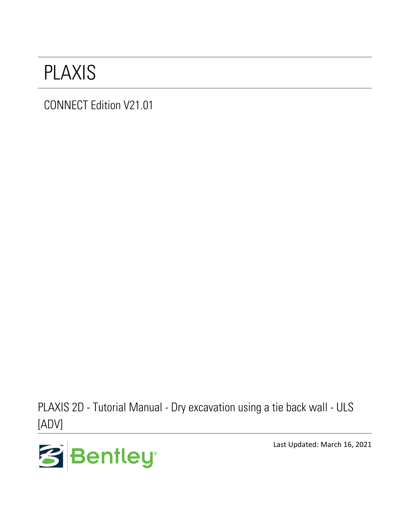## PLAXIS

CONNECT Edition V21.01

PLAXIS 2D - Tutorial Manual - Dry excavation using a tie back wall - ULS [ADV]



Last Updated: March 16, 2021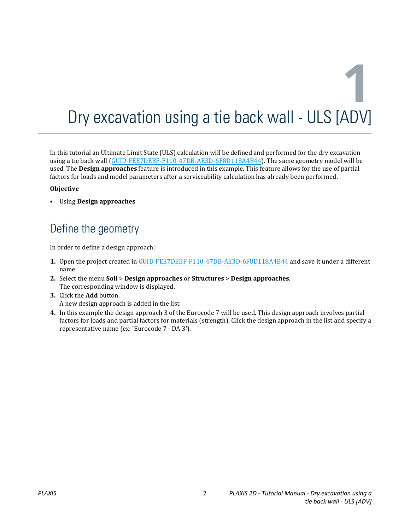# **1** Dry excavation using a tie back wall - ULS [ADV]

In this tutorial an Ultimate Limit State (ULS) calculation will be defined and performed for the dry excavation using a tie back wall (GUID-FEE7DEBF-F110-47DB-AE3D-6F8D118A4B44). The same geometry model will be used. The **Design approaches** feature is introduced in this example. This feature allows for the use of partial factors for loads and model parameters after a serviceability calculation has already been performed.

#### **Objective**

• Using **Design approaches**

## Define the geometry

In order to define a design approach:

- **1.** Open the project created in GUID-FEE7DEBF-F110-47DB-AE3D-6F8D118A4B44 and save it under a different name.
- **2.** Select the menu **Soil** > **Design approaches** or **Structures** > **Design approaches**. The corresponding window is displayed.
- **3.** Click the **Add** button. A new design approach is added in the list.
- **4.** In this example the design approach 3 of the Eurocode 7 will be used. This design approach involves partial factors for loads and partial factors for materials (strength). Click the design approach in the list and specify a representative name (ex: 'Eurocode 7 - DA 3').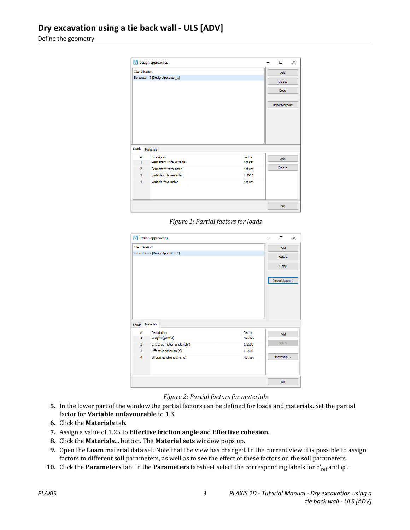Define the geometry

|                         | Design approaches               |         | $\Box$        | $\times$ |
|-------------------------|---------------------------------|---------|---------------|----------|
| Identification          |                                 |         | Add           |          |
|                         | Eurocode - 7 [DesignApproach_1] |         | <b>Delete</b> |          |
|                         |                                 |         | Copy          |          |
|                         |                                 |         | Import/export |          |
|                         |                                 |         |               |          |
|                         | Materials                       |         |               |          |
| #                       | Description                     | Factor  |               |          |
| $\mathbf{1}$            | Permanent unfavourable          | Not set | Add           |          |
| $\overline{2}$          | Permanent favourable            | Not set | <b>Delete</b> |          |
| 3                       | Variable unfavourable           | 1,3000  |               |          |
| Loads<br>$\overline{4}$ | Variable favourable             | Not set |               |          |
|                         |                                 |         |               |          |

*Figure 1: Partial factors for loads*

| Identification |                                 |         | Add           |
|----------------|---------------------------------|---------|---------------|
|                | Eurocode - 7 [DesignApproach_1] |         | <b>Delete</b> |
|                |                                 |         | Copy          |
|                |                                 |         |               |
|                |                                 |         | Import/export |
|                |                                 |         |               |
|                |                                 |         |               |
|                |                                 |         |               |
|                |                                 |         |               |
|                |                                 |         |               |
|                |                                 |         |               |
|                | <b>Materials</b>                |         |               |
| #              | Description                     | Factor  |               |
| $\mathbf{1}$   | Weight (gamma)                  | Not set | Add           |
| $\overline{2}$ | Effective friction angle (phi') | 1.2500  | <b>Delete</b> |
| 3              | Effective cohesion (c')         | 1.2500  |               |
| $\overline{4}$ | Undrained strength (s_u)        | Not set | Materials     |
| Loads          |                                 |         |               |
|                |                                 |         |               |

#### *Figure 2: Partial factors for materials*

- **5.** In the lower part of the window the partial factors can be defined for loads and materials. Set the partial factor for **Variable unfavourable** to 1.3.
- **6.** Click the **Materials** tab.
- **7.** Assign a value of 1.25 to **Effective friction angle** and **Effective cohesion**.
- **8.** Click the **Materials...** button. The **Material sets** window pops up.
- **9.** Open the **Loam** material data set. Note that the view has changed. In the current view it is possible to assign factors to different soil parameters, as well as to see the effect of these factors on the soil parameters.
- **10.** Click the **Parameters** tab. In the **Parameters** tabsheet select the corresponding labels for c'<sub>ref</sub> and φ'.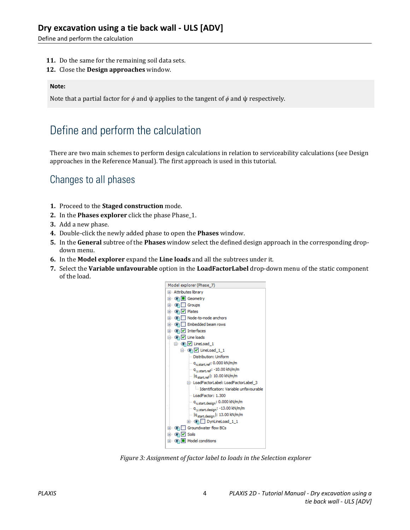Define and perform the calculation

- **11.** Do the same for the remaining soil data sets.
- **12.** Close the **Design approaches** window.

#### **Note:**

Note that a partial factor for *ϕ* and ψ applies to the tangent of *ϕ* and ψ respectively.

## Define and perform the calculation

There are two main schemes to perform design calculations in relation to serviceability calculations (see Design approaches in the Reference Manual). The first approach is used in this tutorial.

### Changes to all phases

- **1.** Proceed to the **Staged construction** mode.
- **2.** In the **Phases explorer** click the phase Phase\_1.
- **3.** Add a new phase.
- **4.** Double-click the newly added phase to open the **Phases** window.
- **5.** In the **General** subtree of the **Phases** window select the defined design approach in the corresponding dropdown menu.
- **6.** In the **Model explorer** expand the **Line loads** and all the subtrees under it.
- **7.** Select the **Variable unfavourable** option in the **LoadFactorLabel** drop-down menu of the static component of the load.



*Figure 3: Assignment of factor label to loads in the Selection explorer*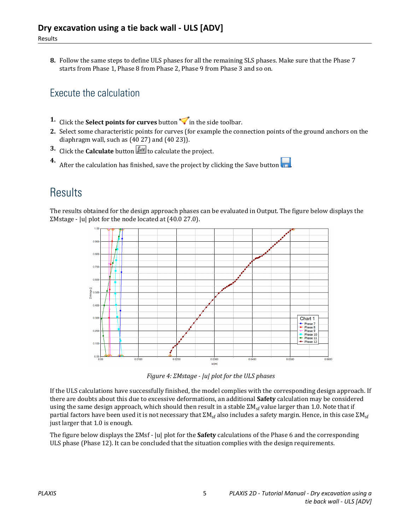**8.** Follow the same steps to define ULS phases for all the remaining SLS phases. Make sure that the Phase 7 starts from Phase 1, Phase 8 from Phase 2, Phase 9 from Phase 3 and so on.

## Execute the calculation

- **1.** Click the **Select points for curves** button  $\triangledown$  in the side toolbar.
- **2.** Select some characteristic points for curves (for example the connection points of the ground anchors on the diaphragm wall, such as (40 27) and (40 23)).
- **3.** Click the **Calculate** button  $\int_{0}^{\infty}$  to calculate the project.

**4.** After the calculation has finished, save the project by clicking the Save button  $\blacksquare$ .

## **Results**

The results obtained for the design approach phases can be evaluated in Output. The figure below displays the ΣMstage - |u| plot for the node located at (40.0 27.0).



*Figure 4: ΣMstage - |u| plot for the ULS phases*

If the ULS calculations have successfully finished, the model complies with the corresponding design approach. If there are doubts about this due to excessive deformations, an additional **Safety** calculation may be considered using the same design approach, which should then result in a stable  $\Sigma M_{sf}$  value larger than 1.0. Note that if partial factors have been used it is not necessary that  $\Sigma M_{sf}$  also includes a safety margin. Hence, in this case  $\Sigma M_{sf}$ just larger that 1.0 is enough.

The figure below displays the ΣMsf - |u| plot for the **Safety** calculations of the Phase 6 and the corresponding ULS phase (Phase 12). It can be concluded that the situation complies with the design requirements.